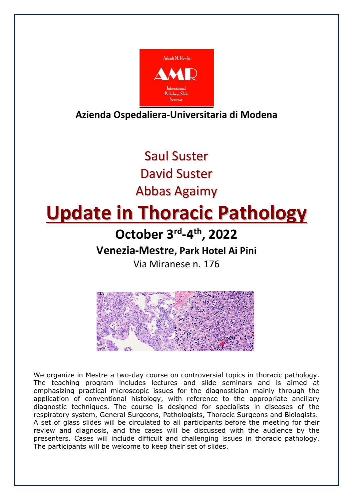

**Azienda Ospedaliera-Universitaria di Modena** 

Saul Suster David Suster Abbas Agaimy

# **Update in Thoracic Pathology**

**October 3rd-4th, 2022**

**Venezia-Mestre, Park Hotel Ai Pini** 

Via Miranese n. 176



We organize in Mestre a two-day course on controversial topics in thoracic pathology. The teaching program includes lectures and slide seminars and is aimed at emphasizing practical microscopic issues for the diagnostician mainly through the application of conventional histology, with reference to the appropriate ancillary diagnostic techniques. The course is designed for specialists in diseases of the respiratory system, General Surgeons, Pathologists, Thoracic Surgeons and Biologists. A set of glass slides will be circulated to all participants before the meeting for their review and diagnosis, and the cases will be discussed with the audience by the presenters. Cases will include difficult and challenging issues in thoracic pathology. The participants will be welcome to keep their set of slides.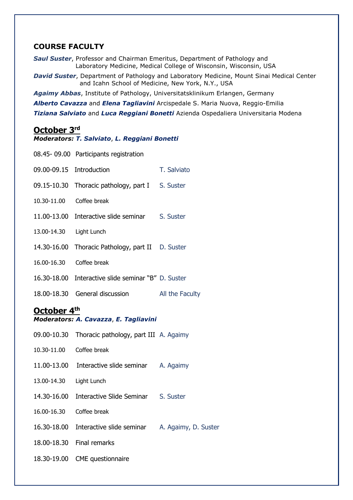# **COURSE FACULTY**

*Saul Suster*, Professor and Chairman Emeritus, Department of Pathology and Laboratory Medicine, Medical College of Wisconsin, Wisconsin, USA

*David Suster*, Department of Pathology and Laboratory Medicine, Mount Sinai Medical Center and Icahn School of Medicine, New York, N.Y., USA

*Agaimy Abbas*, Institute of Pathology, Universitatsklinikum Erlangen, Germany

*Alberto Cavazza* and *Elena Tagliavini* Arcispedale S. Maria Nuova, Reggio-Emilia

*Tiziana Salviato* and *Luca Reggiani Bonetti* Azienda Ospedaliera Universitaria Modena

# **October 3rd**

*Moderators: T. Salviato*, *L. Reggiani Bonetti*

|                                                      | 08.45-09.00 Participants registration               |                      |
|------------------------------------------------------|-----------------------------------------------------|----------------------|
| 09.00-09.15 Introduction                             |                                                     | T. Salviato          |
| 09.15-10.30                                          | Thoracic pathology, part I S. Suster                |                      |
| 10.30-11.00                                          | Coffee break                                        |                      |
| 11.00-13.00                                          | Interactive slide seminar S. Suster                 |                      |
| 13.00-14.30                                          | Light Lunch                                         |                      |
| 14.30-16.00                                          | Thoracic Pathology, part II D. Suster               |                      |
| 16.00-16.30                                          | Coffee break                                        |                      |
|                                                      | 16.30-18.00 Interactive slide seminar "B" D. Suster |                      |
| 18.00-18.30                                          | General discussion                                  | All the Faculty      |
| October 4th<br>Moderators: A. Cavazza, E. Tagliavini |                                                     |                      |
| 09.00-10.30                                          | Thoracic pathology, part III A. Agaimy              |                      |
| 10.30-11.00                                          | Coffee break                                        |                      |
| 11.00-13.00                                          | Interactive slide seminar A. Agaimy                 |                      |
| 13.00-14.30                                          | Light Lunch                                         |                      |
| 14.30-16.00                                          | Interactive Slide Seminar S. Suster                 |                      |
| 16.00-16.30                                          | Coffee break                                        |                      |
| 16.30-18.00                                          | Interactive slide seminar                           | A. Agaimy, D. Suster |
| 18.00-18.30                                          | Final remarks                                       |                      |
|                                                      |                                                     |                      |
| 18.30-19.00                                          | CME questionnaire                                   |                      |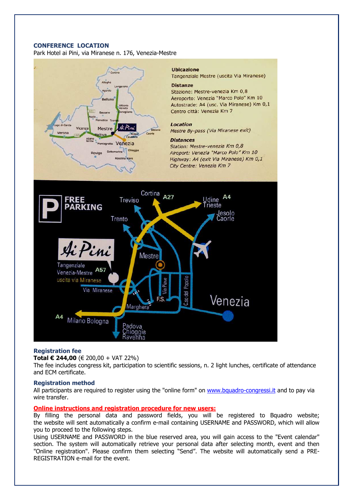#### **CONFERENCE LOCATION**

Park Hotel ai Pini, via Miranese n. 176, Venezia-Mestre



#### **Ubicazione**

Tangenziale Mestre (uscita Via Miranese) **Distanze** 

Stazione: Mestre-venezia Km 0,8 Aeroporto: Venezia "Marco Polo" Km 10 Autostrade: A4 (usc. Via Miranese) Km 0,1 Centro città: Venezia Km 7

#### Location

Mestre By-pass (Via Miranese exit)

#### **Distances**

Station: Mestre-venezia Km 0,8 Airoport: Venezia "Marco Polo" Km 10 Highway: A4 (exit Via Miranese) Km 0,1 City Centre: Venezia Km 7



#### **Registration fee**

**Total € 244,00** (€ 200,00 + VAT 22%)

The fee includes congress kit, participation to scientific sessions, n. 2 light lunches, certificate of attendance and ECM certificate.

#### **Registration method**

All participants are required to register using the "online form" on www.bquadro-congressi.it and to pay via wire transfer.

#### **Online instructions and registration procedure for new users:**

By filling the personal data and password fields, you will be registered to Bquadro website; the website will sent automatically a confirm e-mail containing USERNAME and PASSWORD, which will allow you to proceed to the following steps.

Using USERNAME and PASSWORD in the blue reserved area, you will gain access to the "Event calendar" section. The system will automatically retrieve your personal data after selecting month, event and then "Online registration". Please confirm them selecting "Send". The website will automatically send a PRE-REGISTRATION e-mail for the event.